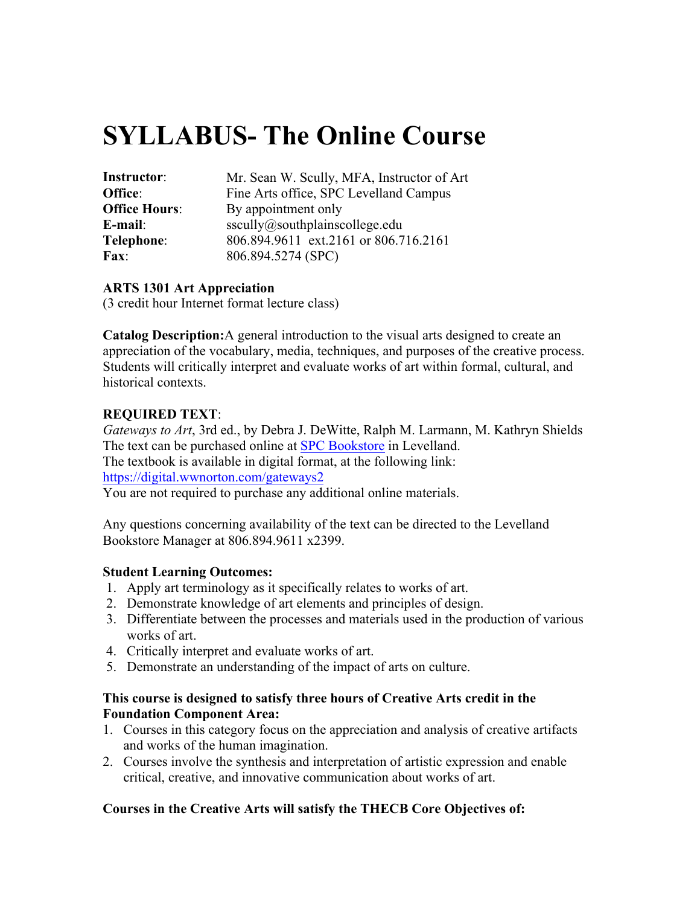# **SYLLABUS- The Online Course**

| Instructor:          | Mr. Sean W. Scully, MFA, Instructor of Art |
|----------------------|--------------------------------------------|
| Office:              | Fine Arts office, SPC Levelland Campus     |
| <b>Office Hours:</b> | By appointment only                        |
| E-mail:              | sscully@southplain scollege.edu            |
| Telephone:           | 806.894.9611 ext.2161 or 806.716.2161      |
| <b>Fax:</b>          | 806.894.5274 (SPC)                         |

#### **ARTS 1301 Art Appreciation**

(3 credit hour Internet format lecture class)

**Catalog Description:**A general introduction to the visual arts designed to create an appreciation of the vocabulary, media, techniques, and purposes of the creative process. Students will critically interpret and evaluate works of art within formal, cultural, and historical contexts.

#### **REQUIRED TEXT**:

*Gateways to Art*, 3rd ed., by Debra J. DeWitte, Ralph M. Larmann, M. Kathryn Shields The text can be purchased online at SPC Bookstore in Levelland. The textbook is available in digital format, at the following link: https://digital.wwnorton.com/gateways2 You are not required to purchase any additional online materials.

Any questions concerning availability of the text can be directed to the Levelland Bookstore Manager at 806.894.9611 x2399.

## **Student Learning Outcomes:**

- 1. Apply art terminology as it specifically relates to works of art.
- 2. Demonstrate knowledge of art elements and principles of design.
- 3. Differentiate between the processes and materials used in the production of various works of art.
- 4. Critically interpret and evaluate works of art.
- 5. Demonstrate an understanding of the impact of arts on culture.

#### **This course is designed to satisfy three hours of Creative Arts credit in the Foundation Component Area:**

- 1. Courses in this category focus on the appreciation and analysis of creative artifacts and works of the human imagination.
- 2. Courses involve the synthesis and interpretation of artistic expression and enable critical, creative, and innovative communication about works of art.

## **Courses in the Creative Arts will satisfy the THECB Core Objectives of:**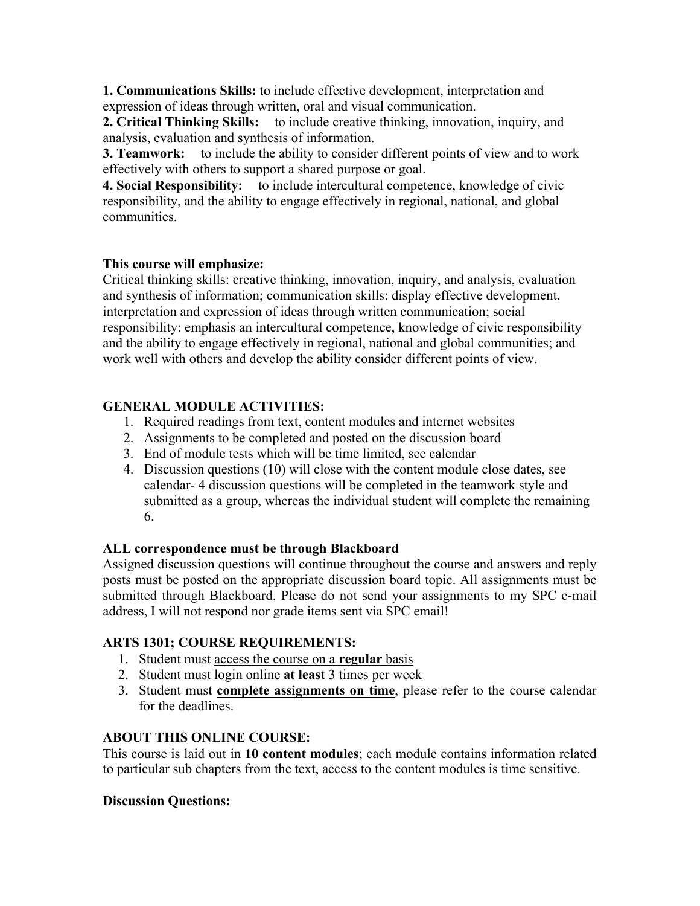**1. Communications Skills:** to include effective development, interpretation and expression of ideas through written, oral and visual communication.

**2. Critical Thinking Skills:** to include creative thinking, innovation, inquiry, and analysis, evaluation and synthesis of information.

**3. Teamwork:** to include the ability to consider different points of view and to work effectively with others to support a shared purpose or goal.

**4. Social Responsibility:** to include intercultural competence, knowledge of civic responsibility, and the ability to engage effectively in regional, national, and global communities.

## **This course will emphasize:**

Critical thinking skills: creative thinking, innovation, inquiry, and analysis, evaluation and synthesis of information; communication skills: display effective development, interpretation and expression of ideas through written communication; social responsibility: emphasis an intercultural competence, knowledge of civic responsibility and the ability to engage effectively in regional, national and global communities; and work well with others and develop the ability consider different points of view.

# **GENERAL MODULE ACTIVITIES:**

- 1. Required readings from text, content modules and internet websites
- 2. Assignments to be completed and posted on the discussion board
- 3. End of module tests which will be time limited, see calendar
- 4. Discussion questions (10) will close with the content module close dates, see calendar- 4 discussion questions will be completed in the teamwork style and submitted as a group, whereas the individual student will complete the remaining 6.

## **ALL correspondence must be through Blackboard**

Assigned discussion questions will continue throughout the course and answers and reply posts must be posted on the appropriate discussion board topic. All assignments must be submitted through Blackboard. Please do not send your assignments to my SPC e-mail address, I will not respond nor grade items sent via SPC email!

## **ARTS 1301; COURSE REQUIREMENTS:**

- 1. Student must access the course on a **regular** basis
- 2. Student must login online **at least** 3 times per week
- 3. Student must **complete assignments on time**, please refer to the course calendar for the deadlines.

# **ABOUT THIS ONLINE COURSE:**

This course is laid out in **10 content modules**; each module contains information related to particular sub chapters from the text, access to the content modules is time sensitive.

# **Discussion Questions:**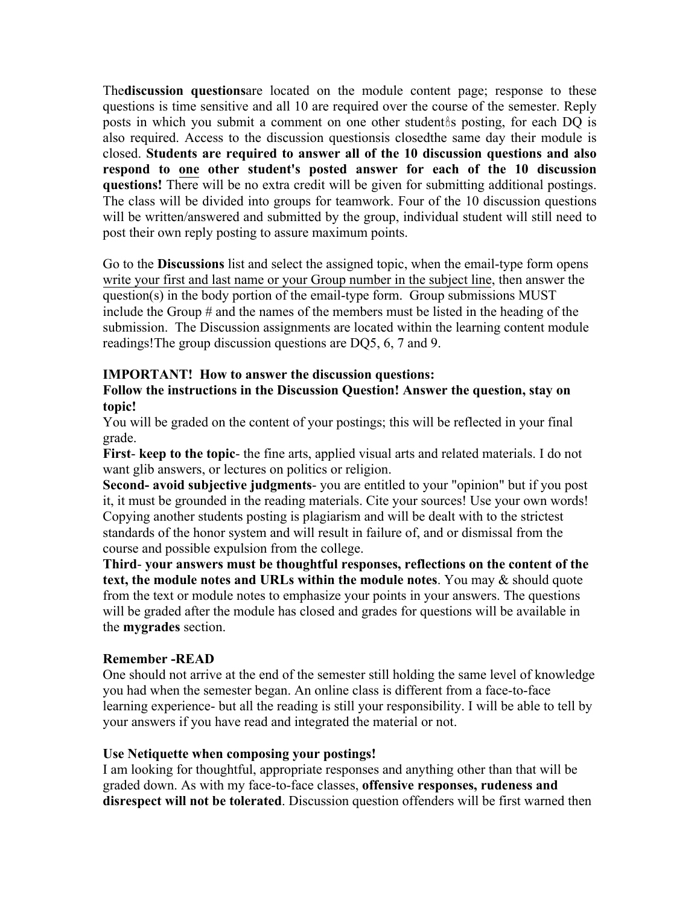The**discussion questions**are located on the module content page; response to these questions is time sensitive and all 10 are required over the course of the semester. Reply posts in which you submit a comment on one other student as posting, for each DQ is also required. Access to the discussion questionsis closedthe same day their module is closed. **Students are required to answer all of the 10 discussion questions and also respond to one other student's posted answer for each of the 10 discussion questions!** There will be no extra credit will be given for submitting additional postings. The class will be divided into groups for teamwork. Four of the 10 discussion questions will be written/answered and submitted by the group, individual student will still need to post their own reply posting to assure maximum points.

Go to the **Discussions** list and select the assigned topic, when the email-type form opens write your first and last name or your Group number in the subject line, then answer the question(s) in the body portion of the email-type form. Group submissions MUST include the Group # and the names of the members must be listed in the heading of the submission. The Discussion assignments are located within the learning content module readings!The group discussion questions are DQ5, 6, 7 and 9.

## **IMPORTANT! How to answer the discussion questions:**

**Follow the instructions in the Discussion Question! Answer the question, stay on topic!** 

You will be graded on the content of your postings; this will be reflected in your final grade.

**First**- **keep to the topic**- the fine arts, applied visual arts and related materials. I do not want glib answers, or lectures on politics or religion.

**Second- avoid subjective judgments**- you are entitled to your "opinion" but if you post it, it must be grounded in the reading materials. Cite your sources! Use your own words! Copying another students posting is plagiarism and will be dealt with to the strictest standards of the honor system and will result in failure of, and or dismissal from the course and possible expulsion from the college.

**Third**- **your answers must be thoughtful responses, reflections on the content of the text, the module notes and URLs within the module notes**. You may & should quote from the text or module notes to emphasize your points in your answers. The questions will be graded after the module has closed and grades for questions will be available in the **mygrades** section.

#### **Remember -READ**

One should not arrive at the end of the semester still holding the same level of knowledge you had when the semester began. An online class is different from a face-to-face learning experience- but all the reading is still your responsibility. I will be able to tell by your answers if you have read and integrated the material or not.

#### **Use Netiquette when composing your postings!**

I am looking for thoughtful, appropriate responses and anything other than that will be graded down. As with my face-to-face classes, **offensive responses, rudeness and disrespect will not be tolerated**. Discussion question offenders will be first warned then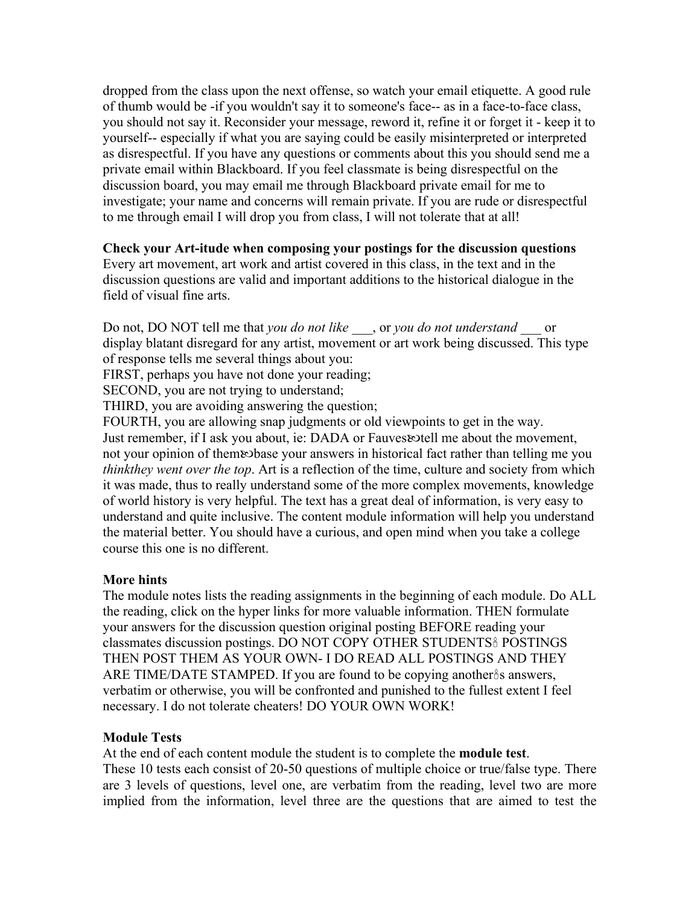dropped from the class upon the next offense, so watch your email etiquette. A good rule of thumb would be -if you wouldn't say it to someone's face-- as in a face-to-face class, you should not say it. Reconsider your message, reword it, refine it or forget it - keep it to yourself-- especially if what you are saying could be easily misinterpreted or interpreted as disrespectful. If you have any questions or comments about this you should send me a private email within Blackboard. If you feel classmate is being disrespectful on the discussion board, you may email me through Blackboard private email for me to investigate; your name and concerns will remain private. If you are rude or disrespectful to me through email I will drop you from class, I will not tolerate that at all!

**Check your Art-itude when composing your postings for the discussion questions**  Every art movement, art work and artist covered in this class, in the text and in the discussion questions are valid and important additions to the historical dialogue in the field of visual fine arts.

Do not, DO NOT tell me that *you do not like \_\_\_*, or *you do not understand \_\_\_* or display blatant disregard for any artist, movement or art work being discussed. This type of response tells me several things about you:

FIRST, perhaps you have not done your reading;

SECOND, you are not trying to understand;

THIRD, you are avoiding answering the question;

FOURTH, you are allowing snap judgments or old viewpoints to get in the way. Just remember, if I ask you about, ie: DADA or Fauves&tell me about the movement, not your opinion of them rebase your answers in historical fact rather than telling me you *thinkthey went over the top*. Art is a reflection of the time, culture and society from which it was made, thus to really understand some of the more complex movements, knowledge of world history is very helpful. The text has a great deal of information, is very easy to understand and quite inclusive. The content module information will help you understand the material better. You should have a curious, and open mind when you take a college course this one is no different.

#### **More hints**

The module notes lists the reading assignments in the beginning of each module. Do ALL the reading, click on the hyper links for more valuable information. THEN formulate your answers for the discussion question original posting BEFORE reading your classmates discussion postings. DO NOT COPY OTHER STUDENTS POSTINGS THEN POST THEM AS YOUR OWN- I DO READ ALL POSTINGS AND THEY ARE TIME/DATE STAMPED. If you are found to be copying another<sup>8</sup>s answers, verbatim or otherwise, you will be confronted and punished to the fullest extent I feel necessary. I do not tolerate cheaters! DO YOUR OWN WORK!

#### **Module Tests**

At the end of each content module the student is to complete the **module test**. These 10 tests each consist of 20-50 questions of multiple choice or true/false type. There are 3 levels of questions, level one, are verbatim from the reading, level two are more implied from the information, level three are the questions that are aimed to test the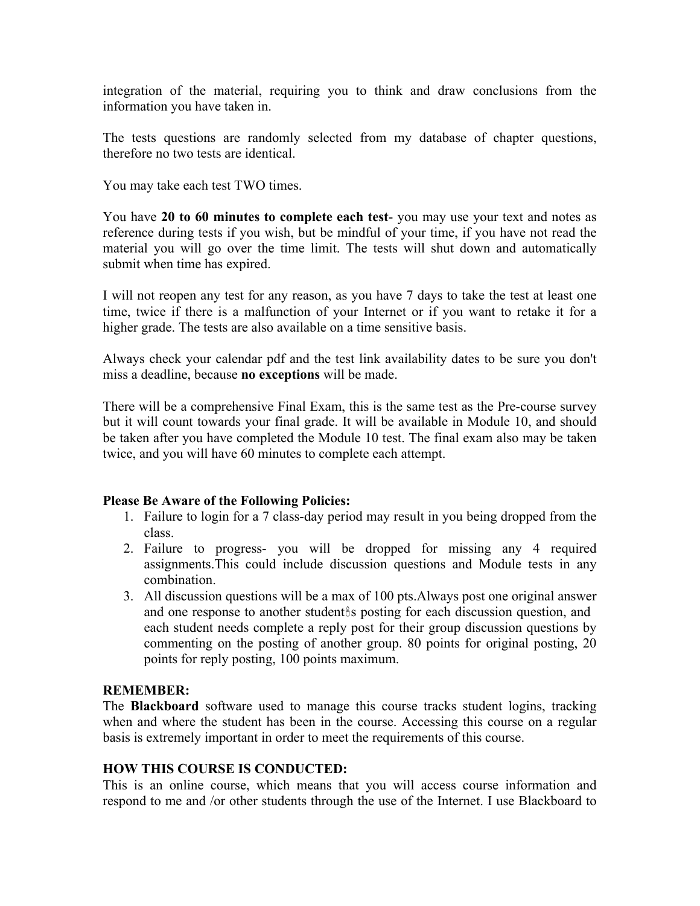integration of the material, requiring you to think and draw conclusions from the information you have taken in.

The tests questions are randomly selected from my database of chapter questions, therefore no two tests are identical.

You may take each test TWO times.

You have **20 to 60 minutes to complete each test**- you may use your text and notes as reference during tests if you wish, but be mindful of your time, if you have not read the material you will go over the time limit. The tests will shut down and automatically submit when time has expired.

I will not reopen any test for any reason, as you have 7 days to take the test at least one time, twice if there is a malfunction of your Internet or if you want to retake it for a higher grade. The tests are also available on a time sensitive basis.

Always check your calendar pdf and the test link availability dates to be sure you don't miss a deadline, because **no exceptions** will be made.

There will be a comprehensive Final Exam, this is the same test as the Pre-course survey but it will count towards your final grade. It will be available in Module 10, and should be taken after you have completed the Module 10 test. The final exam also may be taken twice, and you will have 60 minutes to complete each attempt.

#### **Please Be Aware of the Following Policies:**

- 1. Failure to login for a 7 class-day period may result in you being dropped from the class.
- 2. Failure to progress- you will be dropped for missing any 4 required assignments.This could include discussion questions and Module tests in any combination.
- 3. All discussion questions will be a max of 100 pts.Always post one original answer and one response to another student is posting for each discussion question, and each student needs complete a reply post for their group discussion questions by commenting on the posting of another group. 80 points for original posting, 20 points for reply posting, 100 points maximum.

#### **REMEMBER:**

The **Blackboard** software used to manage this course tracks student logins, tracking when and where the student has been in the course. Accessing this course on a regular basis is extremely important in order to meet the requirements of this course.

#### **HOW THIS COURSE IS CONDUCTED:**

This is an online course, which means that you will access course information and respond to me and /or other students through the use of the Internet. I use Blackboard to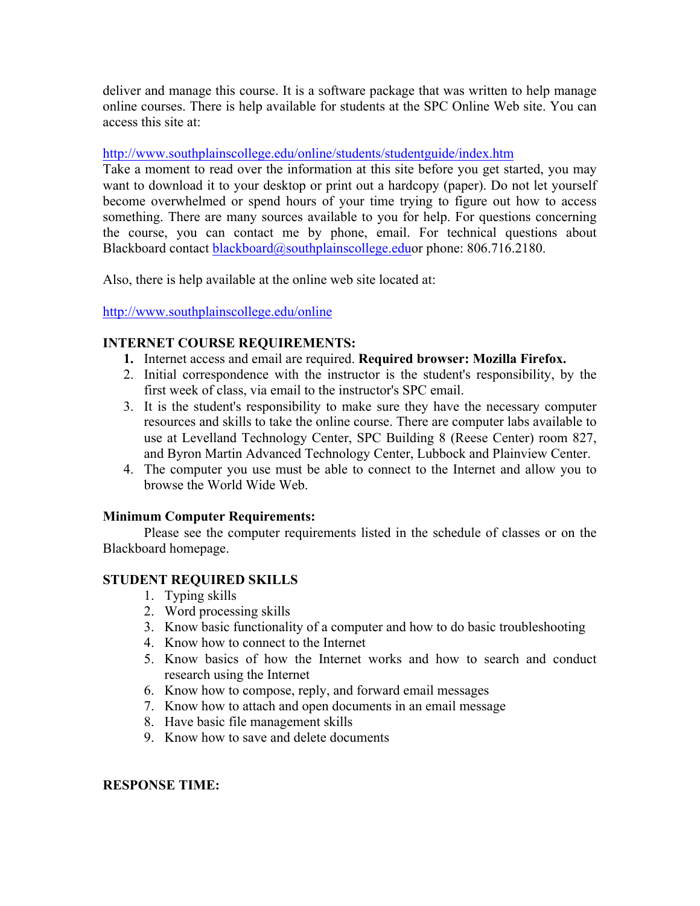deliver and manage this course. It is a software package that was written to help manage online courses. There is help available for students at the SPC Online Web site. You can access this site at:

#### http://www.southplainscollege.edu/online/students/studentguide/index.htm

Take a moment to read over the information at this site before you get started, you may want to download it to your desktop or print out a hardcopy (paper). Do not let yourself become overwhelmed or spend hours of your time trying to figure out how to access something. There are many sources available to you for help. For questions concerning the course, you can contact me by phone, email. For technical questions about Blackboard contact blackboard@southplainscollege.eduor phone: 806.716.2180.

Also, there is help available at the online web site located at:

http://www.southplainscollege.edu/online

## **INTERNET COURSE REQUIREMENTS:**

- **1.** Internet access and email are required. **Required browser: Mozilla Firefox.**
- 2. Initial correspondence with the instructor is the student's responsibility, by the first week of class, via email to the instructor's SPC email.
- 3. It is the student's responsibility to make sure they have the necessary computer resources and skills to take the online course. There are computer labs available to use at Levelland Technology Center, SPC Building 8 (Reese Center) room 827, and Byron Martin Advanced Technology Center, Lubbock and Plainview Center.
- 4. The computer you use must be able to connect to the Internet and allow you to browse the World Wide Web.

## **Minimum Computer Requirements:**

Please see the computer requirements listed in the schedule of classes or on the Blackboard homepage.

## **STUDENT REQUIRED SKILLS**

- 1. Typing skills
- 2. Word processing skills
- 3. Know basic functionality of a computer and how to do basic troubleshooting
- 4. Know how to connect to the Internet
- 5. Know basics of how the Internet works and how to search and conduct research using the Internet
- 6. Know how to compose, reply, and forward email messages
- 7. Know how to attach and open documents in an email message
- 8. Have basic file management skills
- 9. Know how to save and delete documents

# **RESPONSE TIME:**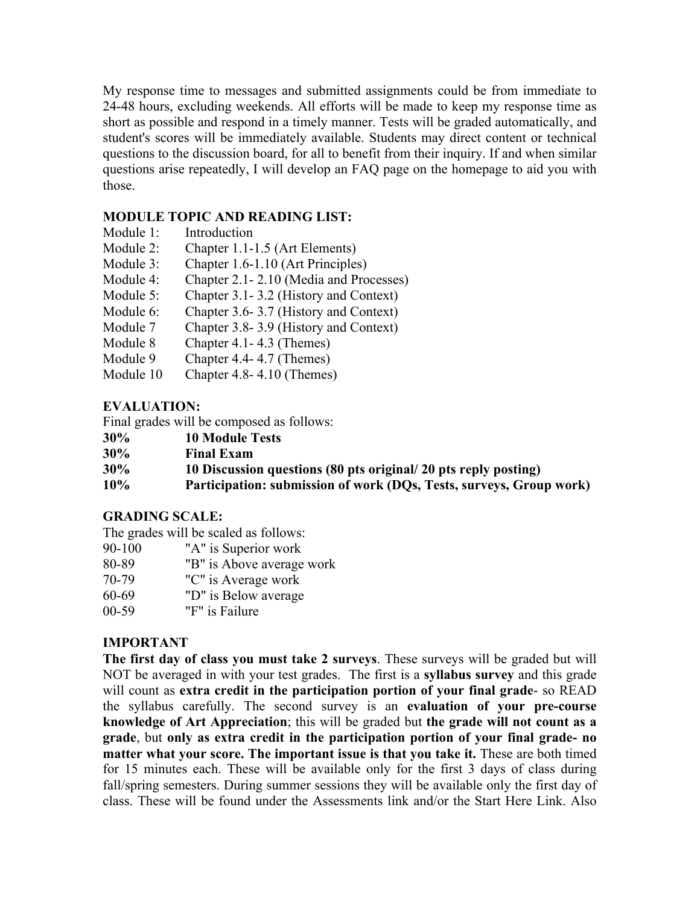My response time to messages and submitted assignments could be from immediate to 24-48 hours, excluding weekends. All efforts will be made to keep my response time as short as possible and respond in a timely manner. Tests will be graded automatically, and student's scores will be immediately available. Students may direct content or technical questions to the discussion board, for all to benefit from their inquiry. If and when similar questions arise repeatedly, I will develop an FAQ page on the homepage to aid you with those.

## **MODULE TOPIC AND READING LIST:**

- Module 1: Introduction
- Module 2: Chapter 1.1-1.5 (Art Elements)
- Module 3: Chapter 1.6-1.10 (Art Principles)
- Module 4: Chapter 2.1-2.10 (Media and Processes)
- Module 5: Chapter 3.1-3.2 (History and Context)
- Module 6: Chapter 3.6-3.7 (History and Context)
- Module 7 Chapter 3.8-3.9 (History and Context)
- Module 8 Chapter 4.1-4.3 (Themes)
- Module 9 Chapter 4.4-4.7 (Themes)
- Module 10 Chapter 4.8-4.10 (Themes)

# **EVALUATION:**

Final grades will be composed as follows:

- **30% 10 Module Tests**
- **30% Final Exam**
- **30% 10 Discussion questions (80 pts original/ 20 pts reply posting)**
- **10% Participation: submission of work (DQs, Tests, surveys, Group work)**

## **GRADING SCALE:**

The grades will be scaled as follows:

- 90-100 "A" is Superior work
- 80-89 "B" is Above average work
- 70-79 "C" is Average work
- 60-69 "D" is Below average
- 00-59 "F" is Failure

# **IMPORTANT**

**The first day of class you must take 2 surveys**. These surveys will be graded but will NOT be averaged in with your test grades. The first is a **syllabus survey** and this grade will count as **extra credit in the participation portion of your final grade**- so READ the syllabus carefully. The second survey is an **evaluation of your pre-course knowledge of Art Appreciation**; this will be graded but **the grade will not count as a grade**, but **only as extra credit in the participation portion of your final grade- no matter what your score. The important issue is that you take it.** These are both timed for 15 minutes each. These will be available only for the first 3 days of class during fall/spring semesters. During summer sessions they will be available only the first day of class. These will be found under the Assessments link and/or the Start Here Link. Also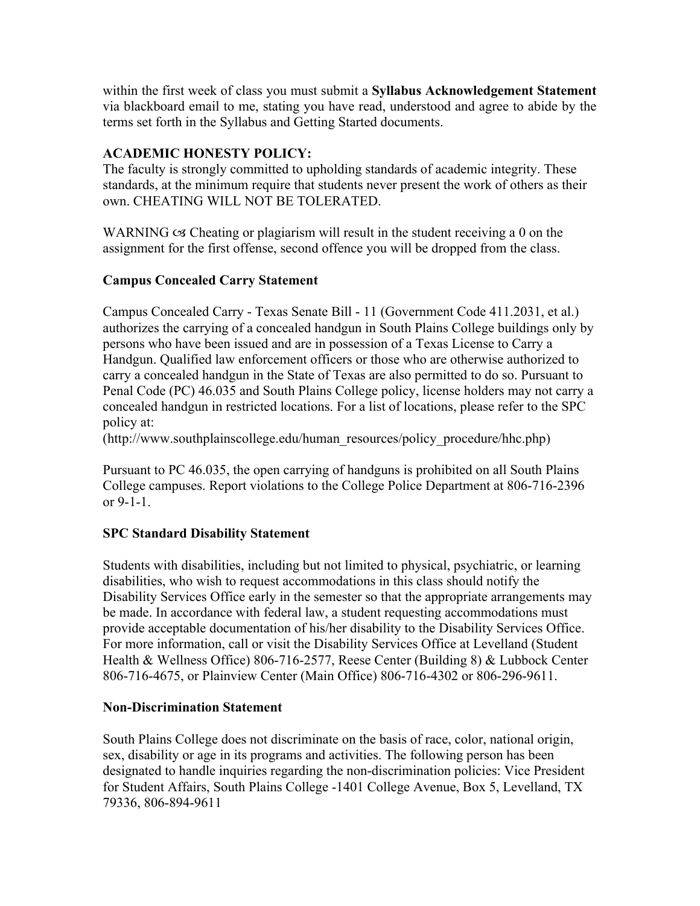within the first week of class you must submit a **Syllabus Acknowledgement Statement** via blackboard email to me, stating you have read, understood and agree to abide by the terms set forth in the Syllabus and Getting Started documents.

# **ACADEMIC HONESTY POLICY:**

The faculty is strongly committed to upholding standards of academic integrity. These standards, at the minimum require that students never present the work of others as their own. CHEATING WILL NOT BE TOLERATED.

WARNING  $\infty$  Cheating or plagiarism will result in the student receiving a 0 on the assignment for the first offense, second offence you will be dropped from the class.

# **Campus Concealed Carry Statement**

Campus Concealed Carry - Texas Senate Bill - 11 (Government Code 411.2031, et al.) authorizes the carrying of a concealed handgun in South Plains College buildings only by persons who have been issued and are in possession of a Texas License to Carry a Handgun. Qualified law enforcement officers or those who are otherwise authorized to carry a concealed handgun in the State of Texas are also permitted to do so. Pursuant to Penal Code (PC) 46.035 and South Plains College policy, license holders may not carry a concealed handgun in restricted locations. For a list of locations, please refer to the SPC policy at:

(http://www.southplainscollege.edu/human\_resources/policy\_procedure/hhc.php)

Pursuant to PC 46.035, the open carrying of handguns is prohibited on all South Plains College campuses. Report violations to the College Police Department at 806-716-2396 or 9-1-1.

## **SPC Standard Disability Statement**

Students with disabilities, including but not limited to physical, psychiatric, or learning disabilities, who wish to request accommodations in this class should notify the Disability Services Office early in the semester so that the appropriate arrangements may be made. In accordance with federal law, a student requesting accommodations must provide acceptable documentation of his/her disability to the Disability Services Office. For more information, call or visit the Disability Services Office at Levelland (Student Health & Wellness Office) 806-716-2577, Reese Center (Building 8) & Lubbock Center 806-716-4675, or Plainview Center (Main Office) 806-716-4302 or 806-296-9611.

## **Non-Discrimination Statement**

South Plains College does not discriminate on the basis of race, color, national origin, sex, disability or age in its programs and activities. The following person has been designated to handle inquiries regarding the non-discrimination policies: Vice President for Student Affairs, South Plains College -1401 College Avenue, Box 5, Levelland, TX 79336, 806-894-9611